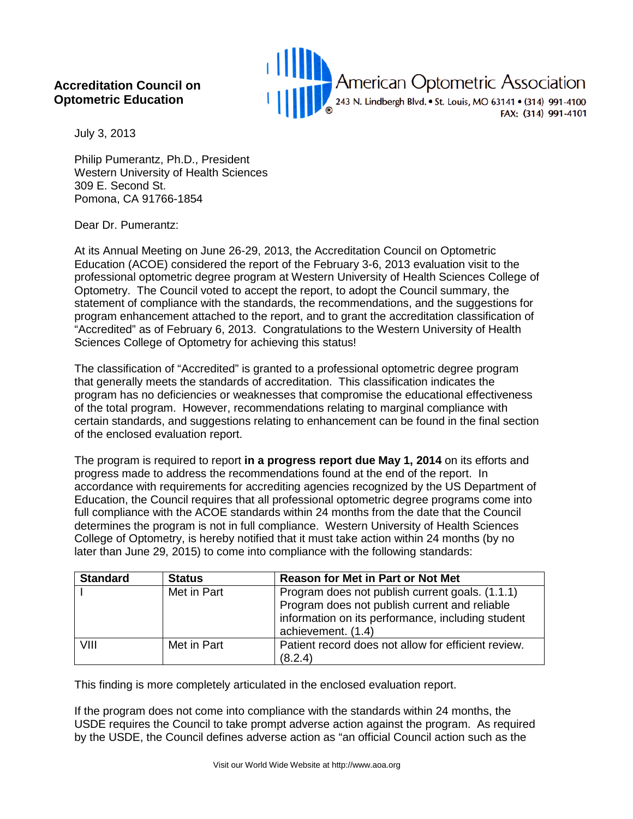## **Accreditation Council on Optometric Education**



July 3, 2013

Philip Pumerantz, Ph.D., President Western University of Health Sciences 309 E. Second St. Pomona, CA 91766-1854

## Dear Dr. Pumerantz:

At its Annual Meeting on June 26-29, 2013, the Accreditation Council on Optometric Education (ACOE) considered the report of the February 3-6, 2013 evaluation visit to the professional optometric degree program at Western University of Health Sciences College of Optometry. The Council voted to accept the report, to adopt the Council summary, the statement of compliance with the standards, the recommendations, and the suggestions for program enhancement attached to the report, and to grant the accreditation classification of "Accredited" as of February 6, 2013. Congratulations to the Western University of Health Sciences College of Optometry for achieving this status!

The classification of "Accredited" is granted to a professional optometric degree program that generally meets the standards of accreditation. This classification indicates the program has no deficiencies or weaknesses that compromise the educational effectiveness of the total program. However, recommendations relating to marginal compliance with certain standards, and suggestions relating to enhancement can be found in the final section of the enclosed evaluation report.

The program is required to report **in a progress report due May 1, 2014** on its efforts and progress made to address the recommendations found at the end of the report. In accordance with requirements for accrediting agencies recognized by the US Department of Education, the Council requires that all professional optometric degree programs come into full compliance with the ACOE standards within 24 months from the date that the Council determines the program is not in full compliance. Western University of Health Sciences College of Optometry, is hereby notified that it must take action within 24 months (by no later than June 29, 2015) to come into compliance with the following standards:

| <b>Standard</b> | <b>Status</b> | <b>Reason for Met in Part or Not Met</b>                                                                                                                                    |
|-----------------|---------------|-----------------------------------------------------------------------------------------------------------------------------------------------------------------------------|
|                 | Met in Part   | Program does not publish current goals. (1.1.1)<br>Program does not publish current and reliable<br>information on its performance, including student<br>achievement. (1.4) |
| VIII            | Met in Part   | Patient record does not allow for efficient review.<br>(8.2.4)                                                                                                              |

This finding is more completely articulated in the enclosed evaluation report.

If the program does not come into compliance with the standards within 24 months, the USDE requires the Council to take prompt adverse action against the program. As required by the USDE, the Council defines adverse action as "an official Council action such as the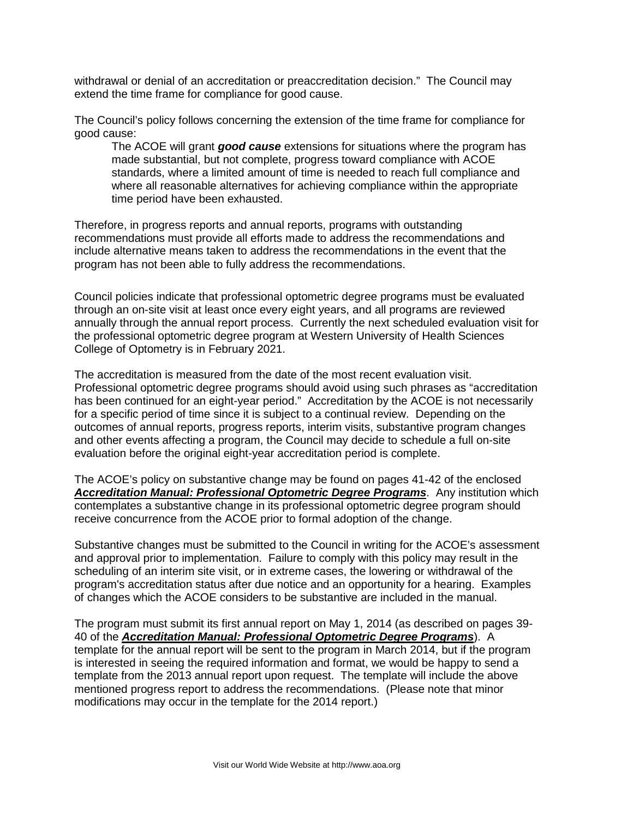withdrawal or denial of an accreditation or preaccreditation decision." The Council may extend the time frame for compliance for good cause.

The Council's policy follows concerning the extension of the time frame for compliance for good cause:

The ACOE will grant *good cause* extensions for situations where the program has made substantial, but not complete, progress toward compliance with ACOE standards, where a limited amount of time is needed to reach full compliance and where all reasonable alternatives for achieving compliance within the appropriate time period have been exhausted.

Therefore, in progress reports and annual reports, programs with outstanding recommendations must provide all efforts made to address the recommendations and include alternative means taken to address the recommendations in the event that the program has not been able to fully address the recommendations.

Council policies indicate that professional optometric degree programs must be evaluated through an on-site visit at least once every eight years, and all programs are reviewed annually through the annual report process. Currently the next scheduled evaluation visit for the professional optometric degree program at Western University of Health Sciences College of Optometry is in February 2021.

The accreditation is measured from the date of the most recent evaluation visit. Professional optometric degree programs should avoid using such phrases as "accreditation has been continued for an eight-year period." Accreditation by the ACOE is not necessarily for a specific period of time since it is subject to a continual review. Depending on the outcomes of annual reports, progress reports, interim visits, substantive program changes and other events affecting a program, the Council may decide to schedule a full on-site evaluation before the original eight-year accreditation period is complete.

The ACOE's policy on substantive change may be found on pages 41-42 of the enclosed *Accreditation Manual: Professional Optometric Degree Programs*.Any institution which contemplates a substantive change in its professional optometric degree program should receive concurrence from the ACOE prior to formal adoption of the change.

Substantive changes must be submitted to the Council in writing for the ACOE's assessment and approval prior to implementation. Failure to comply with this policy may result in the scheduling of an interim site visit, or in extreme cases, the lowering or withdrawal of the program's accreditation status after due notice and an opportunity for a hearing. Examples of changes which the ACOE considers to be substantive are included in the manual.

The program must submit its first annual report on May 1, 2014 (as described on pages 39- 40 of the *Accreditation Manual: Professional Optometric Degree Programs*).A template for the annual report will be sent to the program in March 2014, but if the program is interested in seeing the required information and format, we would be happy to send a template from the 2013 annual report upon request. The template will include the above mentioned progress report to address the recommendations. (Please note that minor modifications may occur in the template for the 2014 report.)